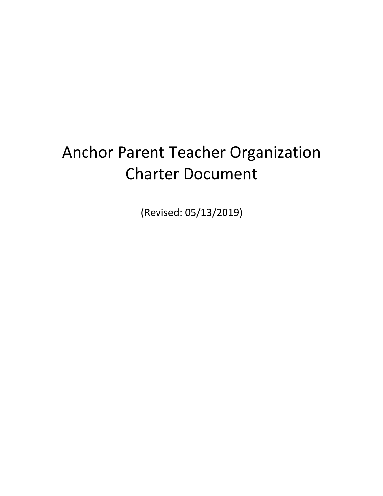# Anchor Parent Teacher Organization Charter Document

(Revised: 05/13/2019)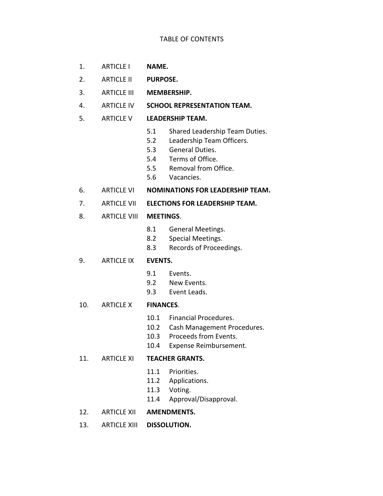#### TABLE OF CONTENTS

- 1. ARTICLE I **NAME.**
- 2. ARTICLE II **PURPOSE.**
- 3. ARTICLE III **MEMBERSHIP.**
- 4. ARTICLE IV **SCHOOL REPRESENTATION TEAM.**
- 5. ARTICLE V **LEADERSHIP TEAM.**
	- 5.1 Shared Leadership Team Duties.
	- 5.2 Leadership Team Officers.
	- 5.3 General Duties.
	- 5.4 Terms of Office.
	- 5.5 Removal from Office.
	- 5.6 Vacancies.
- 6. ARTICLE VI **NOMINATIONS FOR LEADERSHIP TEAM.**
- 7. ARTICLE VII **ELECTIONS FOR LEADERSHIP TEAM.**
- 8. ARTICLE VIII **MEETINGS**.
	- 8.1 General Meetings.
	- 8.2 Special Meetings.
	- 8.3 Records of Proceedings.
- 9. ARTICLE IX **EVENTS.**
	- 9.1 Events.
	- 9.2 New Events.
	- 9.3 Event Leads.

#### 10. ARTICLE X **FINANCES**.

- 10.1 Financial Procedures.
- 10.2 Cash Management Procedures.
- 10.3 Proceeds from Events.
- 10.4 Expense Reimbursement.

#### 11. ARTICLE XI **TEACHER GRANTS.**

- 11.1 Priorities.
- 11.2 Applications.
- 11.3 Voting.
- 11.4 Approval/Disapproval.
- 12. ARTICLE XII **AMENDMENTS.**
- 13. ARTICLE XIII **DISSOLUTION.**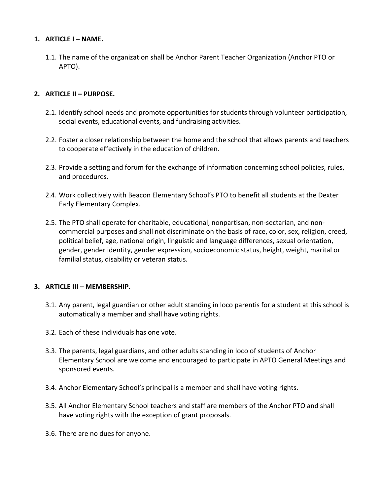# **1. ARTICLE I – NAME.**

1.1. The name of the organization shall be Anchor Parent Teacher Organization (Anchor PTO or APTO).

## **2. ARTICLE II – PURPOSE.**

- 2.1. Identify school needs and promote opportunities for students through volunteer participation, social events, educational events, and fundraising activities.
- 2.2. Foster a closer relationship between the home and the school that allows parents and teachers to cooperate effectively in the education of children.
- 2.3. Provide a setting and forum for the exchange of information concerning school policies, rules, and procedures.
- 2.4. Work collectively with Beacon Elementary School's PTO to benefit all students at the Dexter Early Elementary Complex.
- 2.5. The PTO shall operate for charitable, educational, nonpartisan, non-sectarian, and noncommercial purposes and shall not discriminate on the basis of race, color, sex, religion, creed, political belief, age, national origin, linguistic and language differences, sexual orientation, gender, gender identity, gender expression, socioeconomic status, height, weight, marital or familial status, disability or veteran status.

## **3. ARTICLE III – MEMBERSHIP.**

- 3.1. Any parent, legal guardian or other adult standing in loco parentis for a student at this school is automatically a member and shall have voting rights.
- 3.2. Each of these individuals has one vote.
- 3.3. The parents, legal guardians, and other adults standing in loco of students of Anchor Elementary School are welcome and encouraged to participate in APTO General Meetings and sponsored events.
- 3.4. Anchor Elementary School's principal is a member and shall have voting rights.
- 3.5. All Anchor Elementary School teachers and staff are members of the Anchor PTO and shall have voting rights with the exception of grant proposals.
- 3.6. There are no dues for anyone.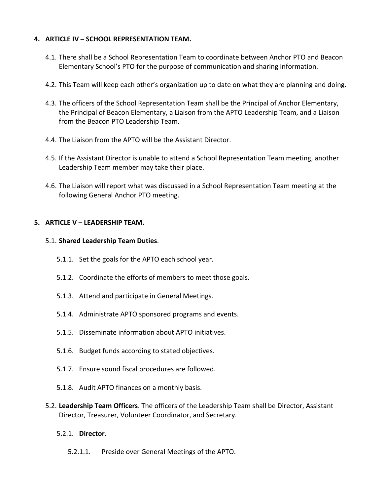## **4. ARTICLE IV – SCHOOL REPRESENTATION TEAM.**

- 4.1. There shall be a School Representation Team to coordinate between Anchor PTO and Beacon Elementary School's PTO for the purpose of communication and sharing information.
- 4.2. This Team will keep each other's organization up to date on what they are planning and doing.
- 4.3. The officers of the School Representation Team shall be the Principal of Anchor Elementary, the Principal of Beacon Elementary, a Liaison from the APTO Leadership Team, and a Liaison from the Beacon PTO Leadership Team.
- 4.4. The Liaison from the APTO will be the Assistant Director.
- 4.5. If the Assistant Director is unable to attend a School Representation Team meeting, another Leadership Team member may take their place.
- 4.6. The Liaison will report what was discussed in a School Representation Team meeting at the following General Anchor PTO meeting.

## **5. ARTICLE V – LEADERSHIP TEAM.**

## 5.1. **Shared Leadership Team Duties**.

- 5.1.1. Set the goals for the APTO each school year.
- 5.1.2. Coordinate the efforts of members to meet those goals.
- 5.1.3. Attend and participate in General Meetings.
- 5.1.4. Administrate APTO sponsored programs and events.
- 5.1.5. Disseminate information about APTO initiatives.
- 5.1.6. Budget funds according to stated objectives.
- 5.1.7. Ensure sound fiscal procedures are followed.
- 5.1.8. Audit APTO finances on a monthly basis.
- 5.2. **Leadership Team Officers**. The officers of the Leadership Team shall be Director, Assistant Director, Treasurer, Volunteer Coordinator, and Secretary.
	- 5.2.1. **Director**.
		- 5.2.1.1. Preside over General Meetings of the APTO.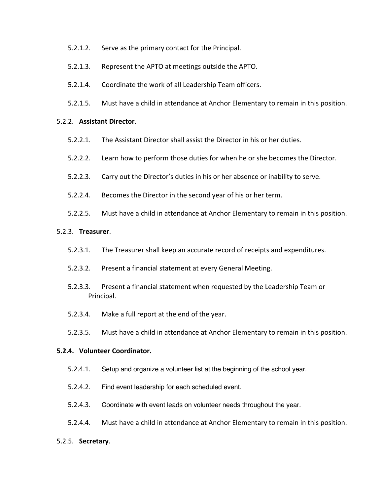- 5.2.1.2. Serve as the primary contact for the Principal.
- 5.2.1.3. Represent the APTO at meetings outside the APTO.
- 5.2.1.4. Coordinate the work of all Leadership Team officers.
- 5.2.1.5. Must have a child in attendance at Anchor Elementary to remain in this position.

#### 5.2.2. **Assistant Director**.

- 5.2.2.1. The Assistant Director shall assist the Director in his or her duties.
- 5.2.2.2. Learn how to perform those duties for when he or she becomes the Director.
- 5.2.2.3. Carry out the Director's duties in his or her absence or inability to serve.
- 5.2.2.4. Becomes the Director in the second year of his or her term.
- 5.2.2.5. Must have a child in attendance at Anchor Elementary to remain in this position.

## 5.2.3. **Treasurer**.

- 5.2.3.1. The Treasurer shall keep an accurate record of receipts and expenditures.
- 5.2.3.2. Present a financial statement at every General Meeting.
- 5.2.3.3. Present a financial statement when requested by the Leadership Team or Principal.
- 5.2.3.4. Make a full report at the end of the year.
- 5.2.3.5. Must have a child in attendance at Anchor Elementary to remain in this position.

#### **5.2.4. Volunteer Coordinator.**

- 5.2.4.1. Setup and organize a volunteer list at the beginning of the school year.
- 5.2.4.2. Find event leadership for each scheduled event.
- 5.2.4.3. Coordinate with event leads on volunteer needs throughout the year.
- 5.2.4.4. Must have a child in attendance at Anchor Elementary to remain in this position.

#### 5.2.5. **Secretary**.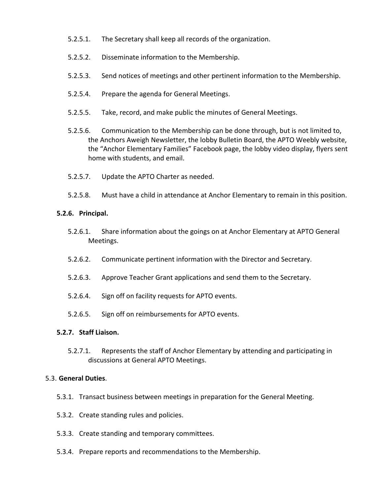- 5.2.5.1. The Secretary shall keep all records of the organization.
- 5.2.5.2. Disseminate information to the Membership.
- 5.2.5.3. Send notices of meetings and other pertinent information to the Membership.
- 5.2.5.4. Prepare the agenda for General Meetings.
- 5.2.5.5. Take, record, and make public the minutes of General Meetings.
- 5.2.5.6. Communication to the Membership can be done through, but is not limited to, the Anchors Aweigh Newsletter, the lobby Bulletin Board, the APTO Weebly website, the "Anchor Elementary Families" Facebook page, the lobby video display, flyers sent home with students, and email.
- 5.2.5.7. Update the APTO Charter as needed.
- 5.2.5.8. Must have a child in attendance at Anchor Elementary to remain in this position.

## **5.2.6. Principal.**

- 5.2.6.1. Share information about the goings on at Anchor Elementary at APTO General Meetings.
- 5.2.6.2. Communicate pertinent information with the Director and Secretary.
- 5.2.6.3. Approve Teacher Grant applications and send them to the Secretary.
- 5.2.6.4. Sign off on facility requests for APTO events.
- 5.2.6.5. Sign off on reimbursements for APTO events.

## **5.2.7. Staff Liaison.**

5.2.7.1. Represents the staff of Anchor Elementary by attending and participating in discussions at General APTO Meetings.

## 5.3. **General Duties**.

- 5.3.1. Transact business between meetings in preparation for the General Meeting.
- 5.3.2. Create standing rules and policies.
- 5.3.3. Create standing and temporary committees.
- 5.3.4. Prepare reports and recommendations to the Membership.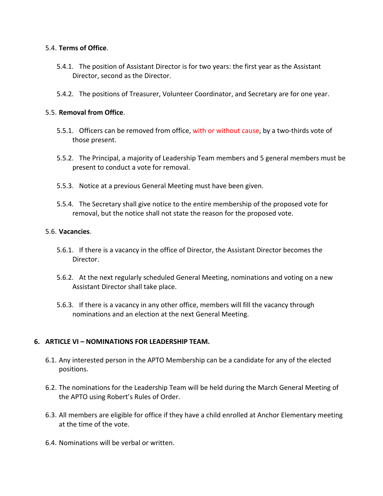## 5.4. **Terms of Office**.

- 5.4.1. The position of Assistant Director is for two years: the first year as the Assistant Director, second as the Director.
- 5.4.2. The positions of Treasurer, Volunteer Coordinator, and Secretary are for one year.

## 5.5. **Removal from Office**.

- 5.5.1. Officers can be removed from office, with or without cause, by a two-thirds vote of those present.
- 5.5.2. The Principal, a majority of Leadership Team members and 5 general members must be present to conduct a vote for removal.
- 5.5.3. Notice at a previous General Meeting must have been given.
- 5.5.4. The Secretary shall give notice to the entire membership of the proposed vote for removal, but the notice shall not state the reason for the proposed vote.

## 5.6. **Vacancies**.

- 5.6.1. If there is a vacancy in the office of Director, the Assistant Director becomes the Director.
- 5.6.2. At the next regularly scheduled General Meeting, nominations and voting on a new Assistant Director shall take place.
- 5.6.3. If there is a vacancy in any other office, members will fill the vacancy through nominations and an election at the next General Meeting.

# **6. ARTICLE VI – NOMINATIONS FOR LEADERSHIP TEAM.**

- 6.1. Any interested person in the APTO Membership can be a candidate for any of the elected positions.
- 6.2. The nominations for the Leadership Team will be held during the March General Meeting of the APTO using Robert's Rules of Order.
- 6.3. All members are eligible for office if they have a child enrolled at Anchor Elementary meeting at the time of the vote.
- 6.4. Nominations will be verbal or written.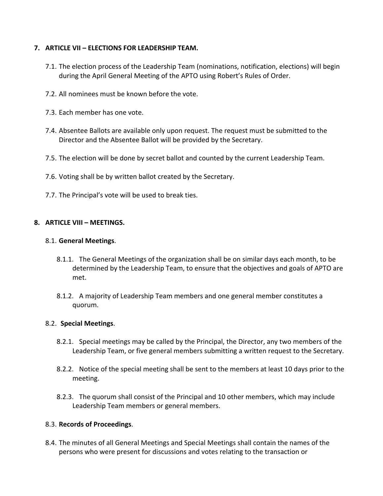# **7. ARTICLE VII – ELECTIONS FOR LEADERSHIP TEAM.**

- 7.1. The election process of the Leadership Team (nominations, notification, elections) will begin during the April General Meeting of the APTO using Robert's Rules of Order.
- 7.2. All nominees must be known before the vote.
- 7.3. Each member has one vote.
- 7.4. Absentee Ballots are available only upon request. The request must be submitted to the Director and the Absentee Ballot will be provided by the Secretary.
- 7.5. The election will be done by secret ballot and counted by the current Leadership Team.
- 7.6. Voting shall be by written ballot created by the Secretary.
- 7.7. The Principal's vote will be used to break ties.

## **8. ARTICLE VIII – MEETINGS.**

## 8.1. **General Meetings**.

- 8.1.1. The General Meetings of the organization shall be on similar days each month, to be determined by the Leadership Team, to ensure that the objectives and goals of APTO are met.
- 8.1.2. A majority of Leadership Team members and one general member constitutes a quorum.

## 8.2. **Special Meetings**.

- 8.2.1. Special meetings may be called by the Principal, the Director, any two members of the Leadership Team, or five general members submitting a written request to the Secretary.
- 8.2.2. Notice of the special meeting shall be sent to the members at least 10 days prior to the meeting.
- 8.2.3. The quorum shall consist of the Principal and 10 other members, which may include Leadership Team members or general members.

## 8.3. **Records of Proceedings**.

8.4. The minutes of all General Meetings and Special Meetings shall contain the names of the persons who were present for discussions and votes relating to the transaction or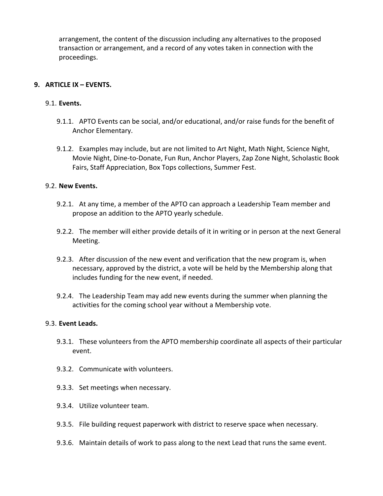arrangement, the content of the discussion including any alternatives to the proposed transaction or arrangement, and a record of any votes taken in connection with the proceedings.

# **9. ARTICLE IX – EVENTS.**

## 9.1. **Events.**

- 9.1.1. APTO Events can be social, and/or educational, and/or raise funds for the benefit of Anchor Elementary.
- 9.1.2. Examples may include, but are not limited to Art Night, Math Night, Science Night, Movie Night, Dine-to-Donate, Fun Run, Anchor Players, Zap Zone Night, Scholastic Book Fairs, Staff Appreciation, Box Tops collections, Summer Fest.

## 9.2. **New Events.**

- 9.2.1. At any time, a member of the APTO can approach a Leadership Team member and propose an addition to the APTO yearly schedule.
- 9.2.2. The member will either provide details of it in writing or in person at the next General Meeting.
- 9.2.3. After discussion of the new event and verification that the new program is, when necessary, approved by the district, a vote will be held by the Membership along that includes funding for the new event, if needed.
- 9.2.4. The Leadership Team may add new events during the summer when planning the activities for the coming school year without a Membership vote.

## 9.3. **Event Leads.**

- 9.3.1. These volunteers from the APTO membership coordinate all aspects of their particular event.
- 9.3.2. Communicate with volunteers.
- 9.3.3. Set meetings when necessary.
- 9.3.4. Utilize volunteer team.
- 9.3.5. File building request paperwork with district to reserve space when necessary.
- 9.3.6. Maintain details of work to pass along to the next Lead that runs the same event.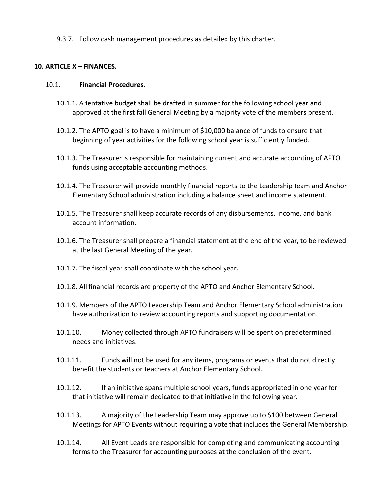9.3.7. Follow cash management procedures as detailed by this charter.

## **10. ARTICLE X – FINANCES.**

## 10.1. **Financial Procedures.**

- 10.1.1. A tentative budget shall be drafted in summer for the following school year and approved at the first fall General Meeting by a majority vote of the members present.
- 10.1.2. The APTO goal is to have a minimum of \$10,000 balance of funds to ensure that beginning of year activities for the following school year is sufficiently funded.
- 10.1.3. The Treasurer is responsible for maintaining current and accurate accounting of APTO funds using acceptable accounting methods.
- 10.1.4. The Treasurer will provide monthly financial reports to the Leadership team and Anchor Elementary School administration including a balance sheet and income statement.
- 10.1.5. The Treasurer shall keep accurate records of any disbursements, income, and bank account information.
- 10.1.6. The Treasurer shall prepare a financial statement at the end of the year, to be reviewed at the last General Meeting of the year.
- 10.1.7. The fiscal year shall coordinate with the school year.
- 10.1.8. All financial records are property of the APTO and Anchor Elementary School.
- 10.1.9. Members of the APTO Leadership Team and Anchor Elementary School administration have authorization to review accounting reports and supporting documentation.
- 10.1.10. Money collected through APTO fundraisers will be spent on predetermined needs and initiatives.
- 10.1.11. Funds will not be used for any items, programs or events that do not directly benefit the students or teachers at Anchor Elementary School.
- 10.1.12. If an initiative spans multiple school years, funds appropriated in one year for that initiative will remain dedicated to that initiative in the following year.
- 10.1.13. A majority of the Leadership Team may approve up to \$100 between General Meetings for APTO Events without requiring a vote that includes the General Membership.
- 10.1.14. All Event Leads are responsible for completing and communicating accounting forms to the Treasurer for accounting purposes at the conclusion of the event.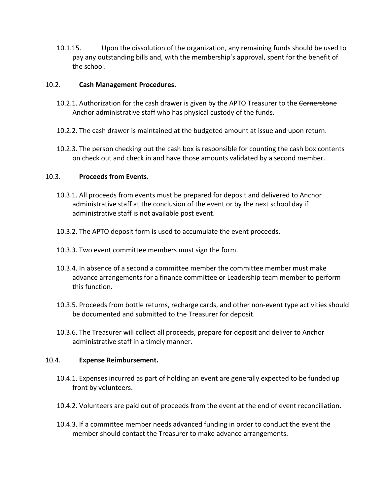10.1.15. Upon the dissolution of the organization, any remaining funds should be used to pay any outstanding bills and, with the membership's approval, spent for the benefit of the school.

## 10.2. **Cash Management Procedures.**

- 10.2.1. Authorization for the cash drawer is given by the APTO Treasurer to the Cornerstone Anchor administrative staff who has physical custody of the funds.
- 10.2.2. The cash drawer is maintained at the budgeted amount at issue and upon return.
- 10.2.3. The person checking out the cash box is responsible for counting the cash box contents on check out and check in and have those amounts validated by a second member.

## 10.3. **Proceeds from Events.**

- 10.3.1. All proceeds from events must be prepared for deposit and delivered to Anchor administrative staff at the conclusion of the event or by the next school day if administrative staff is not available post event.
- 10.3.2. The APTO deposit form is used to accumulate the event proceeds.
- 10.3.3. Two event committee members must sign the form.
- 10.3.4. In absence of a second a committee member the committee member must make advance arrangements for a finance committee or Leadership team member to perform this function.
- 10.3.5. Proceeds from bottle returns, recharge cards, and other non-event type activities should be documented and submitted to the Treasurer for deposit.
- 10.3.6. The Treasurer will collect all proceeds, prepare for deposit and deliver to Anchor administrative staff in a timely manner.

## 10.4. **Expense Reimbursement.**

- 10.4.1. Expenses incurred as part of holding an event are generally expected to be funded up front by volunteers.
- 10.4.2. Volunteers are paid out of proceeds from the event at the end of event reconciliation.
- 10.4.3. If a committee member needs advanced funding in order to conduct the event the member should contact the Treasurer to make advance arrangements.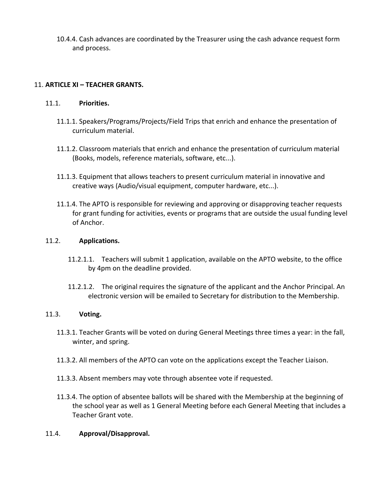10.4.4. Cash advances are coordinated by the Treasurer using the cash advance request form and process.

# 11. **ARTICLE XI – TEACHER GRANTS.**

# 11.1. **Priorities.**

- 11.1.1. Speakers/Programs/Projects/Field Trips that enrich and enhance the presentation of curriculum material.
- 11.1.2. Classroom materials that enrich and enhance the presentation of curriculum material (Books, models, reference materials, software, etc...).
- 11.1.3. Equipment that allows teachers to present curriculum material in innovative and creative ways (Audio/visual equipment, computer hardware, etc...).
- 11.1.4. The APTO is responsible for reviewing and approving or disapproving teacher requests for grant funding for activities, events or programs that are outside the usual funding level of Anchor.

# 11.2. **Applications.**

- 11.2.1.1. Teachers will submit 1 application, available on the APTO website, to the office by 4pm on the deadline provided.
- 11.2.1.2. The original requires the signature of the applicant and the Anchor Principal. An electronic version will be emailed to Secretary for distribution to the Membership.

# 11.3. **Voting.**

- 11.3.1. Teacher Grants will be voted on during General Meetings three times a year: in the fall, winter, and spring.
- 11.3.2. All members of the APTO can vote on the applications except the Teacher Liaison.
- 11.3.3. Absent members may vote through absentee vote if requested.
- 11.3.4. The option of absentee ballots will be shared with the Membership at the beginning of the school year as well as 1 General Meeting before each General Meeting that includes a Teacher Grant vote.

# 11.4. **Approval/Disapproval.**